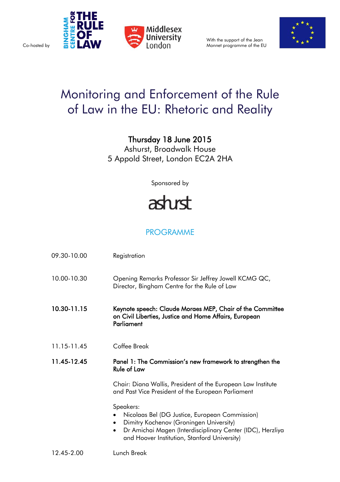

With the support of the Jean Monnet programme of the EU



## Monitoring and Enforcement of the Rule of Law in the EU: Rhetoric and Reality

Thursday 18 June 2015

Ashurst, Broadwalk House 5 Appold Street, London EC2A 2HA

Sponsored by

## ashrst

## PROGRAMME

| 09.30-10.00 | Registration                                                                                                                                                                                                                      |
|-------------|-----------------------------------------------------------------------------------------------------------------------------------------------------------------------------------------------------------------------------------|
| 10.00-10.30 | Opening Remarks Professor Sir Jeffrey Jowell KCMG QC,<br>Director, Bingham Centre for the Rule of Law                                                                                                                             |
| 10.30-11.15 | Keynote speech: Claude Moraes MEP, Chair of the Committee<br>on Civil Liberties, Justice and Home Affairs, European<br>Parliament                                                                                                 |
| 11.15-11.45 | Coffee Break                                                                                                                                                                                                                      |
| 11.45-12.45 | Panel 1: The Commission's new framework to strengthen the<br><b>Rule of Law</b>                                                                                                                                                   |
|             | Chair: Diana Wallis, President of the European Law Institute<br>and Past Vice President of the European Parliament                                                                                                                |
|             | Speakers:<br>Nicolaas Bel (DG Justice, European Commission)<br>Dimitry Kochenov (Groningen University)<br>Dr Amichai Magen (Interdisciplinary Center (IDC), Herzliya<br>$\bullet$<br>and Hoover Institution, Stanford University) |
| 12.45-2.00  | Lunch Break                                                                                                                                                                                                                       |

Co-hosted by

**THP**